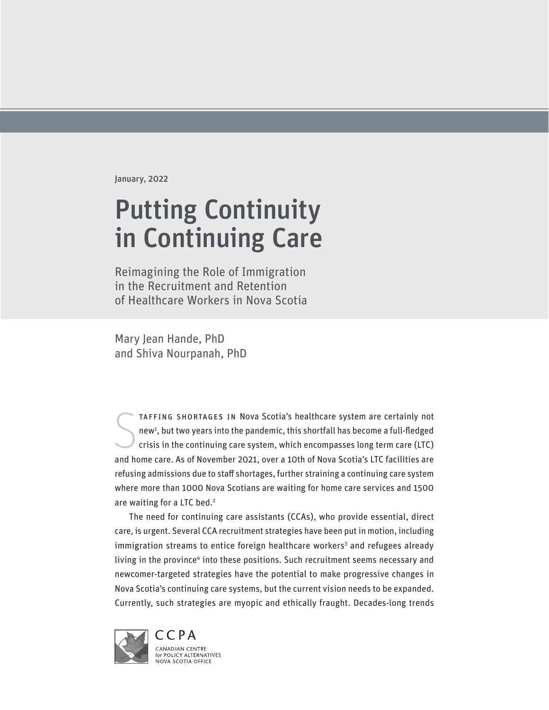January, 2022

# Putting Continuity in Continuing Care

Reimagining the Role of Immigration in the Recruitment and Retention of Healthcare Workers in Nova Scotia

Mary Jean Hande, PhD and Shiva Nourpanah, PhD

S taffing shortages in Nova Scotia's healthcare system are certainly not new<sup>1</sup>, but two years into the pandemic, this shortfall has become a full-fledged crisis in the continuing care system, which encompasses long term care (LTC) and home care. As of November 2021, over a 10th of Nova Scotia's LTC facilities are refusing admissions due to staff shortages, further straining a continuing care system where more than 1000 Nova Scotians are waiting for home care services and 1500 are waiting for a LTC bed.<sup>2</sup>

The need for continuing care assistants (CCAs), who provide essential, direct care, is urgent. Several CCA recruitment strategies have been put in motion, including immigration streams to entice foreign healthcare workers<sup>3</sup> and refugees already living in the province<sup>4</sup> into these positions. Such recruitment seems necessary and newcomer-targeted strategies have the potential to make progressive changes in Nova Scotia's continuing care systems, but the current vision needs to be expanded. Currently, such strategies are myopic and ethically fraught. Decades-long trends

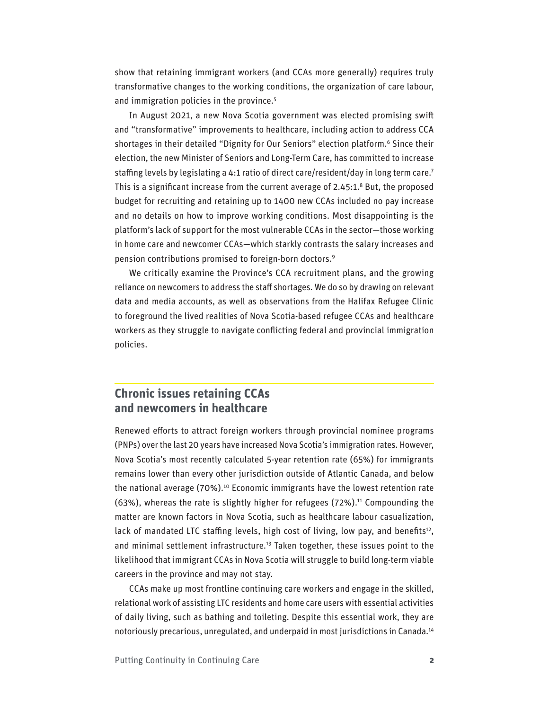show that retaining immigrant workers (and CCAs more generally) requires truly transformative changes to the working conditions, the organization of care labour, and immigration policies in the province.<sup>5</sup>

In August 2021, a new Nova Scotia government was elected promising swift and "transformative" improvements to healthcare, including action to address CCA shortages in their detailed "Dignity for Our Seniors" election platform.6 Since their election, the new Minister of Seniors and Long-Term Care, has committed to increase staffing levels by legislating a 4:1 ratio of direct care/resident/day in long term care.<sup>7</sup> This is a significant increase from the current average of 2.45:1.<sup>8</sup> But, the proposed budget for recruiting and retaining up to 1400 new CCAs included no pay increase and no details on how to improve working conditions. Most disappointing is the platform's lack of support for the most vulnerable CCAs in the sector—those working in home care and newcomer CCAs—which starkly contrasts the salary increases and pension contributions promised to foreign-born doctors.9

We critically examine the Province's CCA recruitment plans, and the growing reliance on newcomers to address the staff shortages. We do so by drawing on relevant data and media accounts, as well as observations from the Halifax Refugee Clinic to foreground the lived realities of Nova Scotia-based refugee CCAs and healthcare workers as they struggle to navigate conflicting federal and provincial immigration policies.

## **Chronic issues retaining CCAs and newcomers in healthcare**

Renewed efforts to attract foreign workers through provincial nominee programs (PNPs) over the last 20 years have increased Nova Scotia's immigration rates. However, Nova Scotia's most recently calculated 5-year retention rate (65%) for immigrants remains lower than every other jurisdiction outside of Atlantic Canada, and below the national average (70%).<sup>10</sup> Economic immigrants have the lowest retention rate (63%), whereas the rate is slightly higher for refugees (72%).<sup>11</sup> Compounding the matter are known factors in Nova Scotia, such as healthcare labour casualization, lack of mandated LTC staffing levels, high cost of living, low pay, and benefits<sup>12</sup>, and minimal settlement infrastructure.<sup>13</sup> Taken together, these issues point to the likelihood that immigrant CCAs in Nova Scotia will struggle to build long-term viable careers in the province and may not stay.

CCAs make up most frontline continuing care workers and engage in the skilled, relational work of assisting LTC residents and home care users with essential activities of daily living, such as bathing and toileting. Despite this essential work, they are notoriously precarious, unregulated, and underpaid in most jurisdictions in Canada.14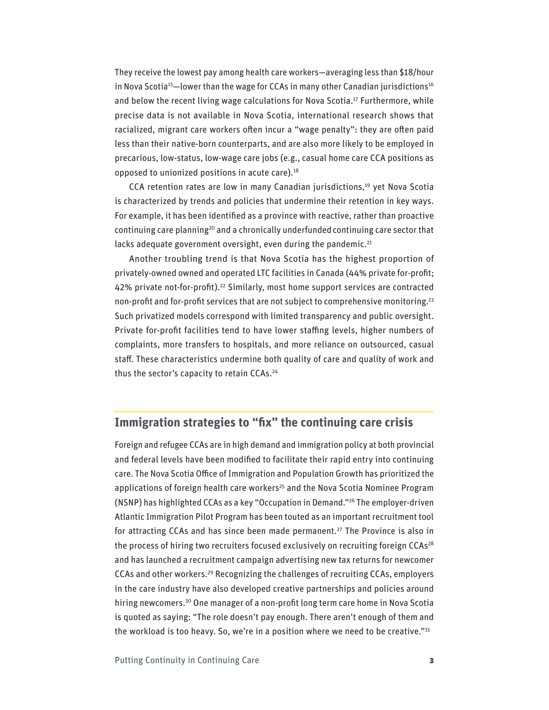They receive the lowest pay among health care workers—averaging less than \$18/hour in Nova Scotia<sup>15</sup>-lower than the wage for CCAs in many other Canadian jurisdictions<sup>16</sup> and below the recent living wage calculations for Nova Scotia.<sup>17</sup> Furthermore, while precise data is not available in Nova Scotia, international research shows that racialized, migrant care workers often incur a "wage penalty": they are often paid less than their native-born counterparts, and are also more likely to be employed in precarious, low-status, low-wage care jobs (e.g., casual home care CCA positions as opposed to unionized positions in acute care). $18$ 

CCA retention rates are low in many Canadian jurisdictions,<sup>19</sup> yet Nova Scotia is characterized by trends and policies that undermine their retention in key ways. For example, it has been identified as a province with reactive, rather than proactive continuing care planning<sup>20</sup> and a chronically underfunded continuing care sector that lacks adequate government oversight, even during the pandemic.<sup>21</sup>

Another troubling trend is that Nova Scotia has the highest proportion of privately-owned owned and operated LTC facilities in Canada (44% private for-profit; 42% private not-for-profit).<sup>22</sup> Similarly, most home support services are contracted non-profit and for-profit services that are not subject to comprehensive monitoring.<sup>23</sup> Such privatized models correspond with limited transparency and public oversight. Private for-profit facilities tend to have lower staffing levels, higher numbers of complaints, more transfers to hospitals, and more reliance on outsourced, casual staff. These characteristics undermine both quality of care and quality of work and thus the sector's capacity to retain CCAs.<sup>24</sup>

## **Immigration strategies to "fix" the continuing care crisis**

Foreign and refugee CCAs are in high demand and immigration policy at both provincial and federal levels have been modified to facilitate their rapid entry into continuing care. The Nova Scotia Office of Immigration and Population Growth has prioritized the applications of foreign health care workers<sup>25</sup> and the Nova Scotia Nominee Program (NSNP) has highlighted CCAs as a key "Occupation in Demand."26 The employer-driven Atlantic Immigration Pilot Program has been touted as an important recruitment tool for attracting CCAs and has since been made permanent.<sup>27</sup> The Province is also in the process of hiring two recruiters focused exclusively on recruiting foreign CCAs<sup>28</sup> and has launched a recruitment campaign advertising new tax returns for newcomer CCAs and other workers.29 Recognizing the challenges of recruiting CCAs, employers in the care industry have also developed creative partnerships and policies around hiring newcomers.<sup>30</sup> One manager of a non-profit long term care home in Nova Scotia is quoted as saying: "The role doesn't pay enough. There aren't enough of them and the workload is too heavy. So, we're in a position where we need to be creative."<sup>31</sup>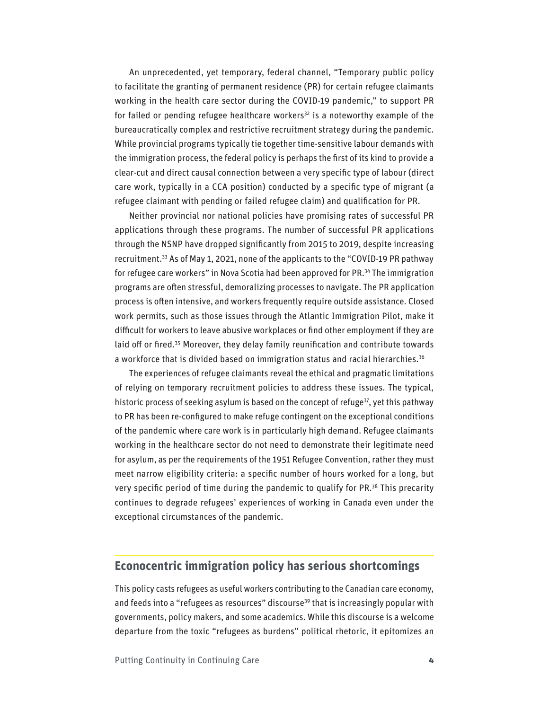An unprecedented, yet temporary, federal channel, "Temporary public policy to facilitate the granting of permanent residence (PR) for certain refugee claimants working in the health care sector during the COVID-19 pandemic," to support PR for failed or pending refugee healthcare workers<sup>32</sup> is a noteworthy example of the bureaucratically complex and restrictive recruitment strategy during the pandemic. While provincial programs typically tie together time-sensitive labour demands with the immigration process, the federal policy is perhaps the first of its kind to provide a clear-cut and direct causal connection between a very specific type of labour (direct care work, typically in a CCA position) conducted by a specific type of migrant (a refugee claimant with pending or failed refugee claim) and qualification for PR.

Neither provincial nor national policies have promising rates of successful PR applications through these programs. The number of successful PR applications through the NSNP have dropped significantly from 2015 to 2019, despite increasing recruitment.33 As of May 1, 2021, none of the applicants to the "COVID-19 PR pathway for refugee care workers" in Nova Scotia had been approved for PR.<sup>34</sup> The immigration programs are often stressful, demoralizing processes to navigate. The PR application process is often intensive, and workers frequently require outside assistance. Closed work permits, such as those issues through the Atlantic Immigration Pilot, make it difficult for workers to leave abusive workplaces or find other employment if they are laid off or fired.<sup>35</sup> Moreover, they delay family reunification and contribute towards a workforce that is divided based on immigration status and racial hierarchies.<sup>36</sup>

The experiences of refugee claimants reveal the ethical and pragmatic limitations of relying on temporary recruitment policies to address these issues. The typical, historic process of seeking asylum is based on the concept of refuge $\frac{37}{7}$ , yet this pathway to PR has been re-configured to make refuge contingent on the exceptional conditions of the pandemic where care work is in particularly high demand. Refugee claimants working in the healthcare sector do not need to demonstrate their legitimate need for asylum, as per the requirements of the 1951 Refugee Convention, rather they must meet narrow eligibility criteria: a specific number of hours worked for a long, but very specific period of time during the pandemic to qualify for PR.<sup>38</sup> This precarity continues to degrade refugees' experiences of working in Canada even under the exceptional circumstances of the pandemic.

## **Econocentric immigration policy has serious shortcomings**

This policy casts refugees as useful workers contributing to the Canadian care economy, and feeds into a "refugees as resources" discourse<sup>39</sup> that is increasingly popular with governments, policy makers, and some academics. While this discourse is a welcome departure from the toxic "refugees as burdens" political rhetoric, it epitomizes an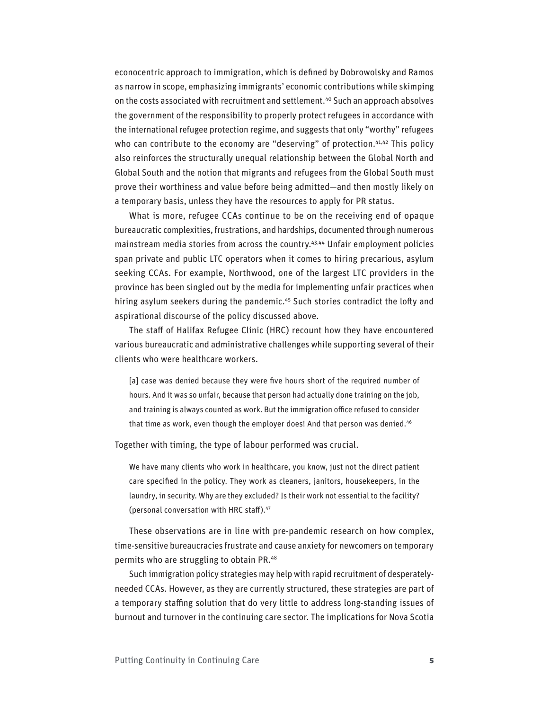econocentric approach to immigration, which is defined by Dobrowolsky and Ramos as narrow in scope, emphasizing immigrants' economic contributions while skimping on the costs associated with recruitment and settlement.<sup>40</sup> Such an approach absolves the government of the responsibility to properly protect refugees in accordance with the international refugee protection regime, and suggests that only "worthy" refugees who can contribute to the economy are "deserving" of protection.<sup>41,42</sup> This policy also reinforces the structurally unequal relationship between the Global North and Global South and the notion that migrants and refugees from the Global South must prove their worthiness and value before being admitted—and then mostly likely on a temporary basis, unless they have the resources to apply for PR status.

What is more, refugee CCAs continue to be on the receiving end of opaque bureaucratic complexities, frustrations, and hardships, documented through numerous mainstream media stories from across the country.<sup>43,44</sup> Unfair employment policies span private and public LTC operators when it comes to hiring precarious, asylum seeking CCAs. For example, Northwood, one of the largest LTC providers in the province has been singled out by the media for implementing unfair practices when hiring asylum seekers during the pandemic.<sup>45</sup> Such stories contradict the lofty and aspirational discourse of the policy discussed above.

The staff of Halifax Refugee Clinic (HRC) recount how they have encountered various bureaucratic and administrative challenges while supporting several of their clients who were healthcare workers.

[a] case was denied because they were five hours short of the required number of hours. And it was so unfair, because that person had actually done training on the job, and training is always counted as work. But the immigration office refused to consider that time as work, even though the employer does! And that person was denied.<sup>46</sup>

Together with timing, the type of labour performed was crucial.

We have many clients who work in healthcare, you know, just not the direct patient care specified in the policy. They work as cleaners, janitors, housekeepers, in the laundry, in security. Why are they excluded? Is their work not essential to the facility? (personal conversation with HRC staff).47

These observations are in line with pre-pandemic research on how complex, time-sensitive bureaucracies frustrate and cause anxiety for newcomers on temporary permits who are struggling to obtain PR.48

Such immigration policy strategies may help with rapid recruitment of desperatelyneeded CCAs. However, as they are currently structured, these strategies are part of a temporary staffing solution that do very little to address long-standing issues of burnout and turnover in the continuing care sector. The implications for Nova Scotia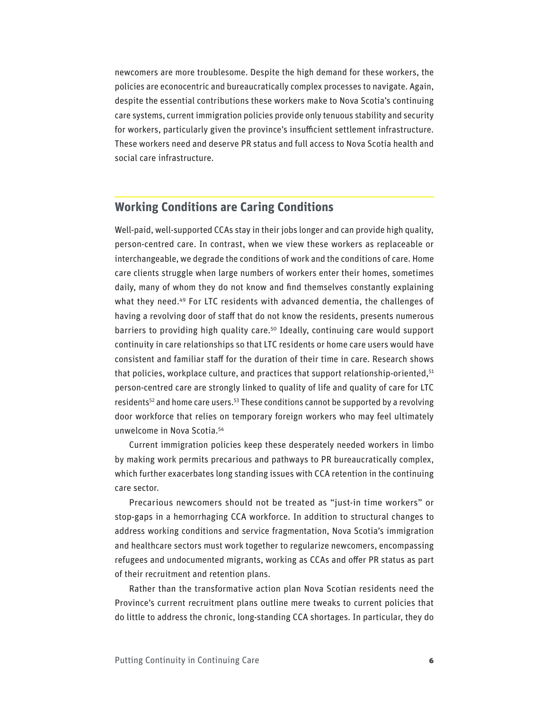newcomers are more troublesome. Despite the high demand for these workers, the policies are econocentric and bureaucratically complex processes to navigate. Again, despite the essential contributions these workers make to Nova Scotia's continuing care systems, current immigration policies provide only tenuous stability and security for workers, particularly given the province's insufficient settlement infrastructure. These workers need and deserve PR status and full access to Nova Scotia health and social care infrastructure.

### **Working Conditions are Caring Conditions**

Well-paid, well-supported CCAs stay in their jobs longer and can provide high quality, person-centred care. In contrast, when we view these workers as replaceable or interchangeable, we degrade the conditions of work and the conditions of care. Home care clients struggle when large numbers of workers enter their homes, sometimes daily, many of whom they do not know and find themselves constantly explaining what they need. $49$  For LTC residents with advanced dementia, the challenges of having a revolving door of staff that do not know the residents, presents numerous barriers to providing high quality care.<sup>50</sup> Ideally, continuing care would support continuity in care relationships so that LTC residents or home care users would have consistent and familiar staff for the duration of their time in care. Research shows that policies, workplace culture, and practices that support relationship-oriented, $51$ person-centred care are strongly linked to quality of life and quality of care for LTC residents<sup>52</sup> and home care users.<sup>53</sup> These conditions cannot be supported by a revolving door workforce that relies on temporary foreign workers who may feel ultimately unwelcome in Nova Scotia.54

Current immigration policies keep these desperately needed workers in limbo by making work permits precarious and pathways to PR bureaucratically complex, which further exacerbates long standing issues with CCA retention in the continuing care sector.

Precarious newcomers should not be treated as "just-in time workers" or stop-gaps in a hemorrhaging CCA workforce. In addition to structural changes to address working conditions and service fragmentation, Nova Scotia's immigration and healthcare sectors must work together to regularize newcomers, encompassing refugees and undocumented migrants, working as CCAs and offer PR status as part of their recruitment and retention plans.

Rather than the transformative action plan Nova Scotian residents need the Province's current recruitment plans outline mere tweaks to current policies that do little to address the chronic, long-standing CCA shortages. In particular, they do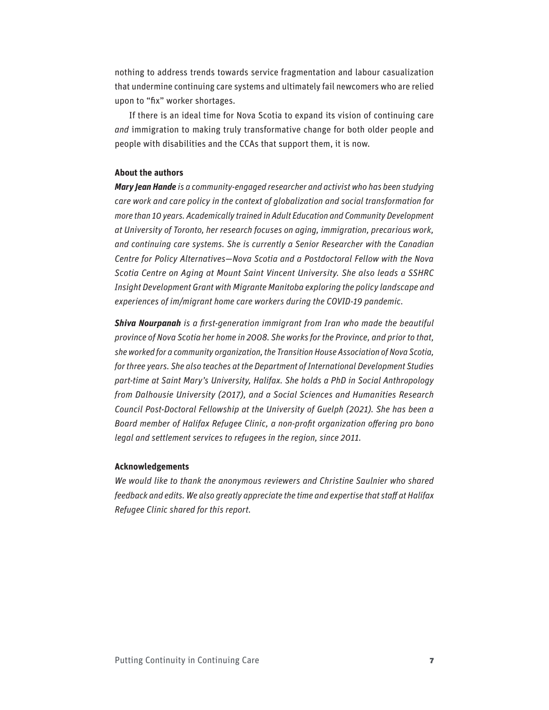nothing to address trends towards service fragmentation and labour casualization that undermine continuing care systems and ultimately fail newcomers who are relied upon to "fix" worker shortages.

If there is an ideal time for Nova Scotia to expand its vision of continuing care *and* immigration to making truly transformative change for both older people and people with disabilities and the CCAs that support them, it is now.

#### **About the authors**

*Mary Jean Hande is a community-engaged researcher and activist who has been studying care work and care policy in the context of globalization and social transformation for more than 10 years. Academically trained in Adult Education and Community Development at University of Toronto, her research focuses on aging, immigration, precarious work, and continuing care systems. She is currently a Senior Researcher with the Canadian Centre for Policy Alternatives—Nova Scotia and a Postdoctoral Fellow with the Nova Scotia Centre on Aging at Mount Saint Vincent University. She also leads a SSHRC Insight Development Grant with Migrante Manitoba exploring the policy landscape and experiences of im/migrant home care workers during the COVID-19 pandemic.*

*Shiva Nourpanah is a first-generation immigrant from Iran who made the beautiful province of Nova Scotia her home in 2008. She works for the Province, and prior to that, she worked for a community organization, the Transition House Association of Nova Scotia, for three years. She also teaches at the Department of International Development Studies part-time at Saint Mary's University, Halifax. She holds a PhD in Social Anthropology from Dalhousie University (2017), and a Social Sciences and Humanities Research Council Post-Doctoral Fellowship at the University of Guelph (2021). She has been a Board member of Halifax Refugee Clinic, a non-profit organization offering pro bono legal and settlement services to refugees in the region, since 2011.*

#### **Acknowledgements**

*We would like to thank the anonymous reviewers and Christine Saulnier who shared feedback and edits. We also greatly appreciate the time and expertise that staff at Halifax Refugee Clinic shared for this report.*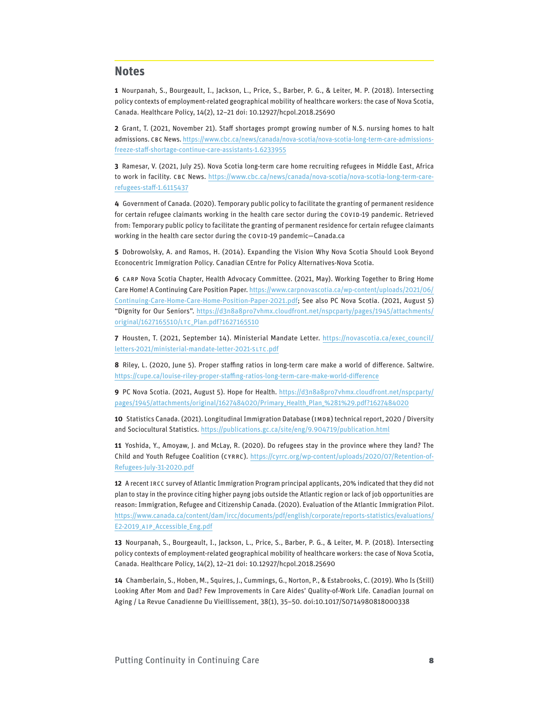#### **Notes**

**1** Nourpanah, S., Bourgeault, I., Jackson, L., Price, S., Barber, P. G., & Leiter, M. P. (2018). Intersecting policy contexts of employment-related geographical mobility of healthcare workers: the case of Nova Scotia, Canada. Healthcare Policy, 14(2), 12–21 doi: 10.12927/hcpol.2018.25690

**2** Grant, T. (2021, November 21). Staff shortages prompt growing number of N.S. nursing homes to halt admissions. CBC News. [https://www.cbc.ca/news/canada/nova-scotia/nova-scotia-long-term-care-admissions](about:blank)[freeze-staff-shortage-continue-care-assistants-1.6233955](about:blank)

**3** Ramesar, V. (2021, July 25). Nova Scotia long-term care home recruiting refugees in Middle East, Africa to work in facility. CBC News. [https://www.cbc.ca/news/canada/nova-scotia/nova-scotia-long-term-care](https://www.cbc.ca/news/canada/nova-scotia/nova-scotia-long-term-care-refugees-staff-1.6115437)[refugees-staff-1.6115437](https://www.cbc.ca/news/canada/nova-scotia/nova-scotia-long-term-care-refugees-staff-1.6115437)

**4** Government of Canada. (2020). Temporary public policy to facilitate the granting of permanent residence for certain refugee claimants working in the health care sector during the COVID-19 pandemic. Retrieved from: Temporary public policy to facilitate the granting of permanent residence for certain refugee claimants working in the health care sector during the COVID-19 pandemic—Canada.ca

**5** Dobrowolsky, A. and Ramos, H. (2014). Expanding the Vision Why Nova Scotia Should Look Beyond Econocentric Immigration Policy. Canadian CEntre for Policy Alternatives-Nova Scotia.

**6** CARP Nova Scotia Chapter, Health Advocacy Committee. (2021, May). Working Together to Bring Home Care Home! A Continuing Care Position Paper. [https://www.carpnovascotia.ca/wp-content/uploads/2021/06/](https://www.carpnovascotia.ca/wp-content/uploads/2021/06/Continuing-Care-Home-Care-Home-Position-Paper-2021.pdf) [Continuing-Care-Home-Care-Home-Position-Paper-2021.pdf](https://www.carpnovascotia.ca/wp-content/uploads/2021/06/Continuing-Care-Home-Care-Home-Position-Paper-2021.pdf); See also PC Nova Scotia. (2021, August 5) "Dignity for Our Seniors". [https://d3n8a8pro7vhmx.cloudfront.net/nspcparty/pages/1945/attachments/](https://d3n8a8pro7vhmx.cloudfront.net/nspcparty/pages/1945/attachments/original/1627165510/LTC_Plan.pdf?1627165510) [original/1627165510/LTC\\_Plan.pdf?1627165510](https://d3n8a8pro7vhmx.cloudfront.net/nspcparty/pages/1945/attachments/original/1627165510/LTC_Plan.pdf?1627165510)

**7** Housten, T. (2021, September 14). Ministerial Mandate Letter. [https://novascotia.ca/exec\\_council/](https://novascotia.ca/exec_council/letters-2021/ministerial-mandate-letter-2021-SLTC.pdf) [letters-2021/ministerial-mandate-letter-2021-SLTC.pdf](https://novascotia.ca/exec_council/letters-2021/ministerial-mandate-letter-2021-SLTC.pdf)

**8** Riley, L. (2020, June 5). Proper staffing ratios in long-term care make a world of difference. Saltwire. <https://cupe.ca/louise-riley-proper-staffing-ratios-long-term-care-make-world-difference>

**9** PC Nova Scotia. (2021, August 5). Hope for Health. [https://d3n8a8pro7vhmx.cloudfront.net/nspcparty/](https://d3n8a8pro7vhmx.cloudfront.net/nspcparty/pages/1945/attachments/original/1627484020/Primary_Health_Plan_%281%29.pdf?1627484020) [pages/1945/attachments/original/1627484020/Primary\\_Health\\_Plan\\_%281%29.pdf?1627484020](https://d3n8a8pro7vhmx.cloudfront.net/nspcparty/pages/1945/attachments/original/1627484020/Primary_Health_Plan_%281%29.pdf?1627484020)

**10** Statistics Canada. (2021). Longitudinal Immigration Database (IMDB) technical report, 2020 / Diversity and Sociocultural Statistics.<https://publications.gc.ca/site/eng/9.904719/publication.html>

**11** Yoshida, Y., Amoyaw, J. and McLay, R. (2020). Do refugees stay in the province where they land? The Child and Youth Refugee Coalition (CYRRC). [https://cyrrc.org/wp-content/uploads/2020/07/Retention-of-](https://cyrrc.org/wp-content/uploads/2020/07/Retention-of-Refugees-July-31-2020.pdf)[Refugees-July-31-2020.pdf](https://cyrrc.org/wp-content/uploads/2020/07/Retention-of-Refugees-July-31-2020.pdf)

**12** A recent IRCC survey of Atlantic Immigration Program principal applicants, 20% indicated that they did not plan to stay in the province citing higher payng jobs outside the Atlantic region or lack of job opportunities are reason: Immigration, Refugee and Citizenship Canada. (2020). Evaluation of the Atlantic Immigration Pilot. [https://www.canada.ca/content/dam/ircc/documents/pdf/english/corporate/reports-statistics/evaluations/](https://www.canada.ca/content/dam/ircc/documents/pdf/english/corporate/reports-statistics/evaluations/E2-2019_AIP_Accessible_Eng.pdf) [E2-2019\\_AIP\\_Accessible\\_Eng.pdf](https://www.canada.ca/content/dam/ircc/documents/pdf/english/corporate/reports-statistics/evaluations/E2-2019_AIP_Accessible_Eng.pdf)

**13** Nourpanah, S., Bourgeault, I., Jackson, L., Price, S., Barber, P. G., & Leiter, M. P. (2018). Intersecting policy contexts of employment-related geographical mobility of healthcare workers: the case of Nova Scotia, Canada. Healthcare Policy, 14(2), 12–21 doi: 10.12927/hcpol.2018.25690

**14** Chamberlain, S., Hoben, M., Squires, J., Cummings, G., Norton, P., & Estabrooks, C. (2019). Who Is (Still) Looking After Mom and Dad? Few Improvements in Care Aides' Quality-of-Work Life. Canadian Journal on Aging / La Revue Canadienne Du Vieillissement, 38(1), 35–50. doi:10.1017/S0714980818000338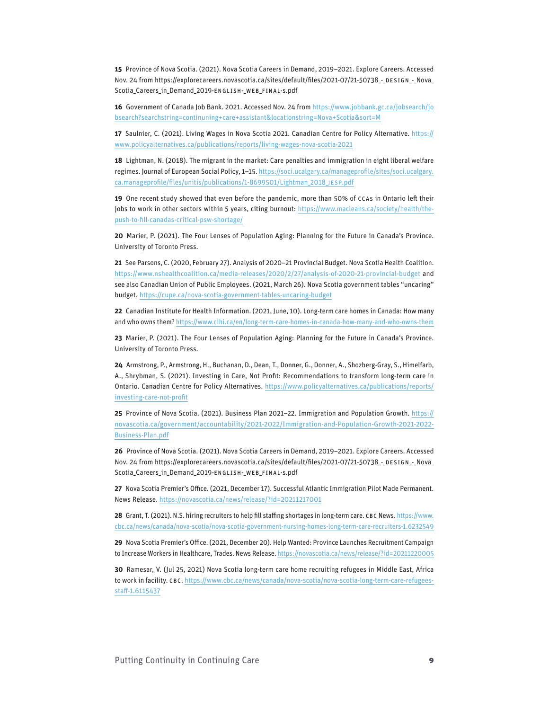**15** Province of Nova Scotia. (2021). Nova Scotia Careers in Demand, 2019–2021. Explore Careers. Accessed Nov. 24 from [https://explorecareers.novascotia.ca/sites/default/files/2021-07/21-50738\\_-\\_DESIGN\\_-\\_Nova\\_](about:blank) [Scotia\\_Careers\\_in\\_Demand\\_2019-ENGLISH-\\_WEB\\_FINAL-s.pdf](about:blank)

**16** Government of Canada Job Bank. 2021. Accessed Nov. 24 from [https://www.jobbank.gc.ca/jobsearch/jo](https://www.jobbank.gc.ca/jobsearch/jobsearch?searchstring=continuning+care+assistant&locationstring=Nova+Scotia&sort=M) [bsearch?searchstring=continuning+care+assistant&locationstring=Nova+Scotia&sort=M](https://www.jobbank.gc.ca/jobsearch/jobsearch?searchstring=continuning+care+assistant&locationstring=Nova+Scotia&sort=M)

**17** Saulnier, C. (2021). Living Wages in Nova Scotia 2021. Canadian Centre for Policy Alternative. [https://](https://www.policyalternatives.ca/publications/reports/living-wages-nova-scotia-2021) [www.policyalternatives.ca/publications/reports/living-wages-nova-scotia-2021](https://www.policyalternatives.ca/publications/reports/living-wages-nova-scotia-2021)

**18** Lightman, N. (2018). The migrant in the market: Care penalties and immigration in eight liberal welfare regimes. Journal of European Social Policy, 1–15. [https://soci.ucalgary.ca/manageprofile/sites/soci.ucalgary.](https://soci.ucalgary.ca/manageprofile/sites/soci.ucalgary.ca.manageprofile/files/unitis/publications/1-8699501/Lightman_2018_JESP.pdf) [ca.manageprofile/files/unitis/publications/1-8699501/Lightman\\_2018\\_JESP.pdf](https://soci.ucalgary.ca/manageprofile/sites/soci.ucalgary.ca.manageprofile/files/unitis/publications/1-8699501/Lightman_2018_JESP.pdf)

**19** One recent study showed that even before the pandemic, more than 50% of CCAs in Ontario left their jobs to work in other sectors within 5 years, citing burnout: [https://www.macleans.ca/society/health/the](https://www.macleans.ca/society/health/the-push-to-fill-canadas-critical-psw-shortage/)[push-to-fill-canadas-critical-psw-shortage/](https://www.macleans.ca/society/health/the-push-to-fill-canadas-critical-psw-shortage/)

**20** Marier, P. (2021). The Four Lenses of Population Aging: Planning for the Future in Canada's Province. University of Toronto Press.

**21** See Parsons, C. (2020, February 27). Analysis of 2020–21 Provincial Budget. Nova Scotia Health Coalition. <https://www.nshealthcoalition.ca/media-releases/2020/2/27/analysis-of-2020-21-provincial-budget>and see also Canadian Union of Public Employees. (2021, March 26). Nova Scotia government tables "uncaring" budget. <https://cupe.ca/nova-scotia-government-tables-uncaring-budget>

**22** Canadian Institute for Health Information. (2021, June, 10). Long-term care homes in Canada: How many and who owns them?<https://www.cihi.ca/en/long-term-care-homes-in-canada-how-many-and-who-owns-them>

**23** Marier, P. (2021). The Four Lenses of Population Aging: Planning for the Future in Canada's Province. University of Toronto Press.

**24** Armstrong, P., Armstrong, H., Buchanan, D., Dean, T., Donner, G., Donner, A., Shozberg-Gray, S., Himelfarb, A., Shrybman, S. (2021). Investing in Care, Not Profit: Recommendations to transform long-term care in Ontario. Canadian Centre for Policy Alternatives. [https://www.policyalternatives.ca/publications/reports/](https://www.policyalternatives.ca/publications/reports/investing-care-not-profit) [investing-care-not-profit](https://www.policyalternatives.ca/publications/reports/investing-care-not-profit)

**25** Province of Nova Scotia. (2021). Business Plan 2021–22. Immigration and Population Growth. [https://](https://novascotia.ca/government/accountability/2021-2022/Immigration-and-Population-Growth-2021-2022-Business-Plan.pdf) [novascotia.ca/government/accountability/2021-2022/Immigration-and-Population-Growth-2021-2022-](https://novascotia.ca/government/accountability/2021-2022/Immigration-and-Population-Growth-2021-2022-Business-Plan.pdf) [Business-Plan.pdf](https://novascotia.ca/government/accountability/2021-2022/Immigration-and-Population-Growth-2021-2022-Business-Plan.pdf)

**26** Province of Nova Scotia. (2021). Nova Scotia Careers in Demand, 2019–2021. Explore Careers. Accessed Nov. 24 from [https://explorecareers.novascotia.ca/sites/default/files/2021-07/21-50738\\_-\\_DESIGN\\_-\\_Nova\\_](about:blank) [Scotia\\_Careers\\_in\\_Demand\\_2019-ENGLISH-\\_WEB\\_FINAL-s.pdf](about:blank)

**27** Nova Scotia Premier's Office. (2021, December 17). Successful Atlantic Immigration Pilot Made Permanent. News Release. <https://novascotia.ca/news/release/?id=20211217001>

**28** Grant, T. (2021). N.S. hiring recruiters to help fill staffing shortages in long-term care. CBC News. [https://www.](https://www.cbc.ca/news/canada/nova-scotia/nova-scotia-government-nursing-homes-long-term-care-recruiters-1.6232549) [cbc.ca/news/canada/nova-scotia/nova-scotia-government-nursing-homes-long-term-care-recruiters-1.6232549](https://www.cbc.ca/news/canada/nova-scotia/nova-scotia-government-nursing-homes-long-term-care-recruiters-1.6232549)

**29** Nova Scotia Premier's Office. (2021, December 20). Help Wanted: Province Launches Recruitment Campaign to Increase Workers in Healthcare, Trades. News Release.<https://novascotia.ca/news/release/?id=20211220005>

**30** Ramesar, V. (Jul 25, 2021) Nova Scotia long-term care home recruiting refugees in Middle East, Africa to work in facility. CBC. [https://www.cbc.ca/news/canada/nova-scotia/nova-scotia-long-term-care-refugees](https://www.cbc.ca/news/canada/nova-scotia/nova-scotia-long-term-care-refugees-staff-1.6115437)[staff-1.6115437](https://www.cbc.ca/news/canada/nova-scotia/nova-scotia-long-term-care-refugees-staff-1.6115437)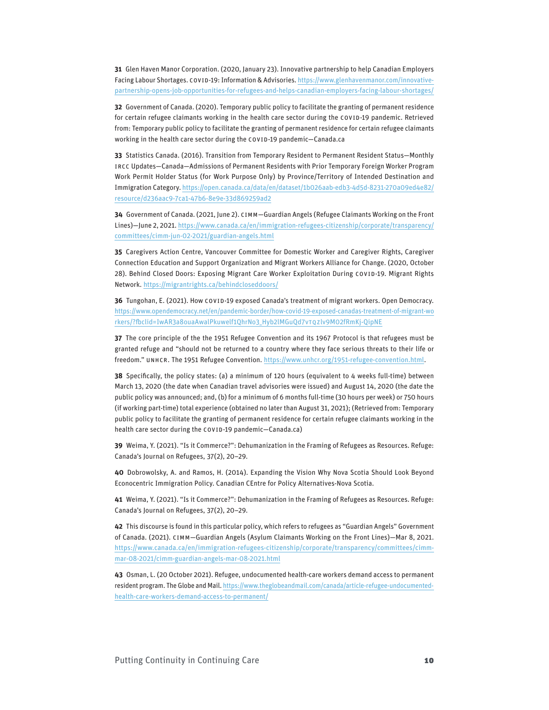**31** Glen Haven Manor Corporation. (2020, January 23). Innovative partnership to help Canadian Employers Facing Labour Shortages. COVID-19: Information & Advisories. [https://www.glenhavenmanor.com/innovative](https://www.glenhavenmanor.com/innovative-partnership-opens-job-opportunities-for-refugees-and-helps-canadian-employers-facing-labour-shortages/)[partnership-opens-job-opportunities-for-refugees-and-helps-canadian-employers-facing-labour-shortages/](https://www.glenhavenmanor.com/innovative-partnership-opens-job-opportunities-for-refugees-and-helps-canadian-employers-facing-labour-shortages/)

**32** Government of Canada. (2020). Temporary public policy to facilitate the granting of permanent residence for certain refugee claimants working in the health care sector during the COVID-19 pandemic. Retrieved from: Temporary public policy to facilitate the granting of permanent residence for certain refugee claimants working in the health care sector during the COVID-19 pandemic—Canada.ca

**33** Statistics Canada. (2016). Transition from Temporary Resident to Permanent Resident Status—Monthly IRCC Updates—Canada—Admissions of Permanent Residents with Prior Temporary Foreign Worker Program Work Permit Holder Status (for Work Purpose Only) by Province/Territory of Intended Destination and Immigration Category. [https://open.canada.ca/data/en/dataset/1b026aab-edb3-4d5d-8231-270a09ed4e82/](https://open.canada.ca/data/en/dataset/1b026aab-edb3-4d5d-8231-270a09ed4e82/resource/d236aac9-7ca1-47b6-8e9e-33d869259ad2) [resource/d236aac9-7ca1-47b6-8e9e-33d869259ad2](https://open.canada.ca/data/en/dataset/1b026aab-edb3-4d5d-8231-270a09ed4e82/resource/d236aac9-7ca1-47b6-8e9e-33d869259ad2)

**34** Government of Canada. (2021, June 2). CIMM—Guardian Angels (Refugee Claimants Working on the Front Lines)—June 2, 2021. [https://www.canada.ca/en/immigration-refugees-citizenship/corporate/transparency/](https://www.canada.ca/en/immigration-refugees-citizenship/corporate/transparency/committees/cimm-jun-02-2021/guardian-angels.html) [committees/cimm-jun-02-2021/guardian-angels.html](https://www.canada.ca/en/immigration-refugees-citizenship/corporate/transparency/committees/cimm-jun-02-2021/guardian-angels.html)

**35** Caregivers Action Centre, Vancouver Committee for Domestic Worker and Caregiver Rights, Caregiver Connection Education and Support Organization and Migrant Workers Alliance for Change. (2020, October 28). Behind Closed Doors: Exposing Migrant Care Worker Exploitation During COVID-19. Migrant Rights Network.<https://migrantrights.ca/behindcloseddoors/>

**36** Tungohan, E. (2021). How COVID-19 exposed Canada's treatment of migrant workers. Open Democracy. [https://www.opendemocracy.net/en/pandemic-border/how-covid-19-exposed-canadas-treatment-of-migrant-wo](https://www.opendemocracy.net/en/pandemic-border/how-covid-19-exposed-canadas-treatment-of-migrant-workers/?fbclid=IwAR3a8ouaAwalPkuwelf1QhrNo3_Hyb2lMGuQd7vTQZlv9M02fRmKj-QipNE) [rkers/?fbclid=IwAR3a8ouaAwalPkuwelf1QhrNo3\\_Hyb2lMGuQd7vTQZlv9M02fRmKj-QipNE](https://www.opendemocracy.net/en/pandemic-border/how-covid-19-exposed-canadas-treatment-of-migrant-workers/?fbclid=IwAR3a8ouaAwalPkuwelf1QhrNo3_Hyb2lMGuQd7vTQZlv9M02fRmKj-QipNE)

**37** The core principle of the the 1951 Refugee Convention and its 1967 Protocol is that refugees must be granted refuge and "should not be returned to a country where they face serious threats to their life or freedom." UNHCR. The 1951 Refugee Convention.<https://www.unhcr.org/1951-refugee-convention.html>.

**38** Specifically, the policy states: (a) a minimum of 120 hours (equivalent to 4 weeks full-time) between March 13, 2020 (the date when Canadian travel advisories were issued) and August 14, 2020 (the date the public policy was announced; and, (b) for a minimum of 6 months full-time (30 hours per week) or 750 hours (if working part-time) total experience (obtained no later than August 31, 2021); (Retrieved from: Temporary public policy to facilitate the granting of permanent residence for certain refugee claimants working in the health care sector during the COVID-19 pandemic—Canada.ca)

**39** Weima, Y. (2021). "Is it Commerce?": Dehumanization in the Framing of Refugees as Resources. Refuge: Canada's Journal on Refugees, 37(2), 20–29.

**40** Dobrowolsky, A. and Ramos, H. (2014). Expanding the Vision Why Nova Scotia Should Look Beyond Econocentric Immigration Policy. Canadian CEntre for Policy Alternatives-Nova Scotia.

**41** Weima, Y. (2021). "Is it Commerce?": Dehumanization in the Framing of Refugees as Resources. Refuge: Canada's Journal on Refugees, 37(2), 20–29.

**42** This discourse is found in this particular policy, which refers to refugees as "Guardian Angels" Government of Canada. (2021). CIMM—Guardian Angels (Asylum Claimants Working on the Front Lines)—Mar 8, 2021. [https://www.canada.ca/en/immigration-refugees-citizenship/corporate/transparency/committees/cimm](https://www.canada.ca/en/immigration-refugees-citizenship/corporate/transparency/committees/cimm-mar-08-2021/cimm-guardian-angels-mar-08-2021.html)[mar-08-2021/cimm-guardian-angels-mar-08-2021.html](https://www.canada.ca/en/immigration-refugees-citizenship/corporate/transparency/committees/cimm-mar-08-2021/cimm-guardian-angels-mar-08-2021.html)

**43** Osman, L. (20 October 2021). Refugee, undocumented health-care workers demand access to permanent resident program. The Globe and Mail. [https://www.theglobeandmail.com/canada/article-refugee-undocumented](https://www.theglobeandmail.com/canada/article-refugee-undocumented-health-care-workers-demand-access-to-permanent/)[health-care-workers-demand-access-to-permanent/](https://www.theglobeandmail.com/canada/article-refugee-undocumented-health-care-workers-demand-access-to-permanent/)